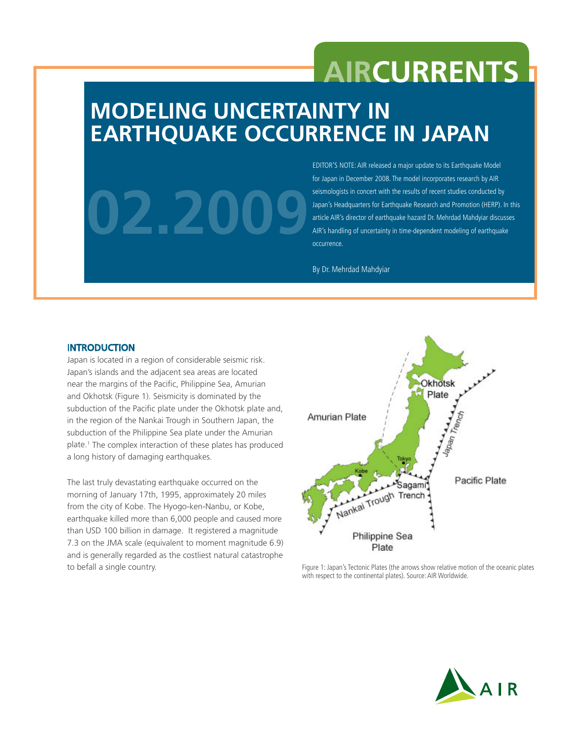## **AIRCurrents**

## **Modeling Uncertainty in Earthquake Occurrence in Japan**

# **02.2009**

EDITOR'S NOTE: AIR released a major update to its Earthquake Model for Japan in December 2008. The model incorporates research by AIR seismologists in concert with the results of recent studies conducted by Japan's Headquarters for Earthquake Research and Promotion (HERP). In this article AIR's director of earthquake hazard Dr. Mehrdad Mahdyiar discusses AIR's handling of uncertainty in time-dependent modeling of earthquake occurrence.

By Dr. Mehrdad Mahdyiar

#### **INTRODUCTION**

Japan is located in a region of considerable seismic risk. Japan's islands and the adjacent sea areas are located near the margins of the Pacific, Philippine Sea, Amurian and Okhotsk (Figure 1). Seismicity is dominated by the subduction of the Pacific plate under the Okhotsk plate and, in the region of the Nankai Trough in Southern Japan, the subduction of the Philippine Sea plate under the Amurian plate.1 The complex interaction of these plates has produced a long history of damaging earthquakes.

The last truly devastating earthquake occurred on the morning of January 17th, 1995, approximately 20 miles from the city of Kobe. The Hyogo-ken-Nanbu, or Kobe, earthquake killed more than 6,000 people and caused more than USD 100 billion in damage. It registered a magnitude 7.3 on the JMA scale (equivalent to moment magnitude 6.9) and is generally regarded as the costliest natural catastrophe to befall a single country.



Figure 1: Japan's Tectonic Plates (the arrows show relative motion of the oceanic plates with respect to the continental plates). Source: AIR Worldwide.

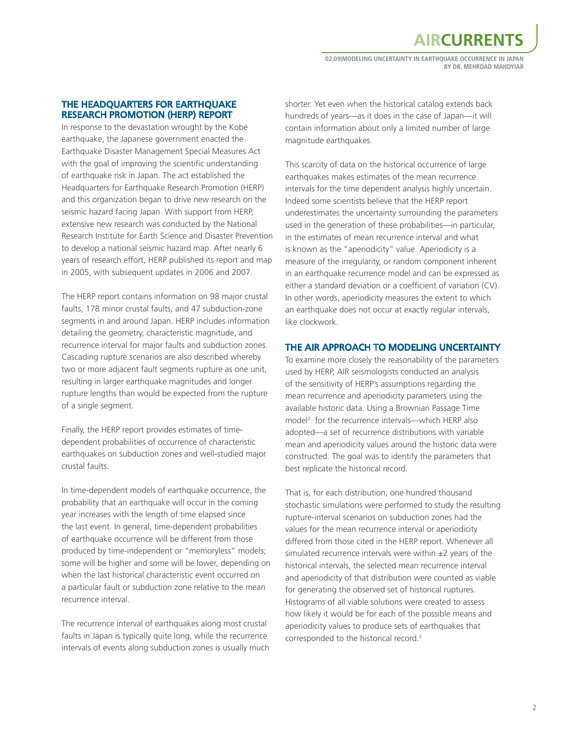## **AIRCurrents**

**02.09|Modeling Uncertainty in Earthquake Occurrence in Japan By Dr. Mehrdad Mahdyiar**

#### The Headquarters for Earthquake Research Promotion (HERP) Report

In response to the devastation wrought by the Kobe earthquake, the Japanese government enacted the Earthquake Disaster Management Special Measures Act with the goal of improving the scientific understanding of earthquake risk in Japan. The act established the Headquarters for Earthquake Research Promotion (HERP) and this organization began to drive new research on the seismic hazard facing Japan. With support from HERP, extensive new research was conducted by the National Research Institute for Earth Science and Disaster Prevention to develop a national seismic hazard map. After nearly 6 years of research effort, HERP published its report and map in 2005, with subsequent updates in 2006 and 2007.

The HERP report contains information on 98 major crustal faults, 178 minor crustal faults, and 47 subduction-zone segments in and around Japan. HERP includes information detailing the geometry, characteristic magnitude, and recurrence interval for major faults and subduction zones. Cascading rupture scenarios are also described whereby two or more adjacent fault segments rupture as one unit, resulting in larger earthquake magnitudes and longer rupture lengths than would be expected from the rupture of a single segment.

Finally, the HERP report provides estimates of timedependent probabilities of occurrence of characteristic earthquakes on subduction zones and well-studied major crustal faults.

In time-dependent models of earthquake occurrence, the probability that an earthquake will occur in the coming year increases with the length of time elapsed since the last event. In general, time-dependent probabilities of earthquake occurrence will be different from those produced by time-independent or "memoryless" models; some will be higher and some will be lower, depending on when the last historical characteristic event occurred on a particular fault or subduction zone relative to the mean recurrence interval.

The recurrence interval of earthquakes along most crustal faults in Japan is typically quite long, while the recurrence intervals of events along subduction zones is usually much shorter. Yet even when the historical catalog extends back hundreds of years—as it does in the case of Japan—it will contain information about only a limited number of large magnitude earthquakes.

This scarcity of data on the historical occurrence of large earthquakes makes estimates of the mean recurrence intervals for the time dependent analysis highly uncertain. Indeed some scientists believe that the HERP report underestimates the uncertainty surrounding the parameters used in the generation of these probabilities—in particular, in the estimates of mean recurrence interval and what is known as the "aperiodicity" value. Aperiodicity is a measure of the irregularity, or random component inherent in an earthquake recurrence model and can be expressed as either a standard deviation or a coefficient of variation (CV). In other words, aperiodicity measures the extent to which an earthquake does not occur at exactly regular intervals, like clockwork.

#### The AIR Approach to Modeling Uncertainty

To examine more closely the reasonability of the parameters used by HERP, AIR seismologists conducted an analysis of the sensitivity of HERP's assumptions regarding the mean recurrence and aperiodicity parameters using the available historic data. Using a Brownian Passage Time model2 for the recurrence intervals—which HERP also adopted—a set of recurrence distributions with variable mean and aperiodicity values around the historic data were constructed. The goal was to identify the parameters that best replicate the historical record.

That is, for each distribution, one hundred thousand stochastic simulations were performed to study the resulting rupture-interval scenarios on subduction zones had the values for the mean recurrence interval or aperiodicity differed from those cited in the HERP report. Whenever all simulated recurrence intervals were within  $\pm 2$  years of the historical intervals, the selected mean recurrence interval and aperiodicity of that distribution were counted as viable for generating the observed set of historical ruptures. Histograms of all viable solutions were created to assess how likely it would be for each of the possible means and aperiodicity values to produce sets of earthquakes that corresponded to the historical record.<sup>3</sup>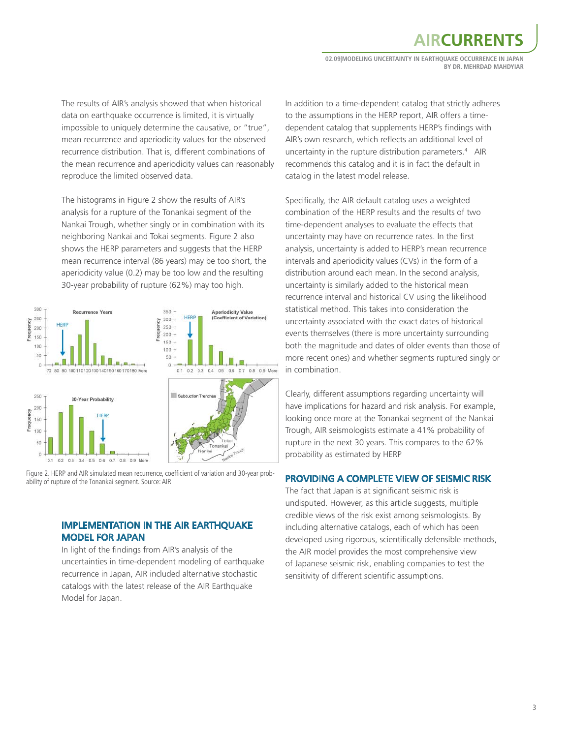## **AIRCURREN**

**02.09|Modeling Uncertainty in Earthquake Occurrence in Japan By Dr. Mehrdad Mahdyiar**

The results of AIR's analysis showed that when historical data on earthquake occurrence is limited, it is virtually impossible to uniquely determine the causative, or "true", mean recurrence and aperiodicity values for the observed recurrence distribution. That is, different combinations of the mean recurrence and aperiodicity values can reasonably reproduce the limited observed data.

The histograms in Figure 2 show the results of AIR's analysis for a rupture of the Tonankai segment of the Nankai Trough, whether singly or in combination with its neighboring Nankai and Tokai segments. Figure 2 also shows the HERP parameters and suggests that the HERP mean recurrence interval (86 years) may be too short, the aperiodicity value (0.2) may be too low and the resulting 30-year probability of rupture (62%) may too high.



Figure 2. HERP and AIR simulated mean recurrence, coefficient of variation and 30-year probability of rupture of the Tonankai segment. Source: AIR

#### Implementation in the AIR Earthquake Model for Japan

In light of the findings from AIR's analysis of the uncertainties in time-dependent modeling of earthquake recurrence in Japan, AIR included alternative stochastic catalogs with the latest release of the AIR Earthquake Model for Japan.

In addition to a time-dependent catalog that strictly adheres to the assumptions in the HERP report, AIR offers a timedependent catalog that supplements HERP's findings with AIR's own research, which reflects an additional level of uncertainty in the rupture distribution parameters.4 AIR recommends this catalog and it is in fact the default in catalog in the latest model release.

Specifically, the AIR default catalog uses a weighted combination of the HERP results and the results of two time-dependent analyses to evaluate the effects that uncertainty may have on recurrence rates. In the first analysis, uncertainty is added to HERP's mean recurrence intervals and aperiodicity values (CVs) in the form of a distribution around each mean. In the second analysis, uncertainty is similarly added to the historical mean recurrence interval and historical CV using the likelihood statistical method. This takes into consideration the uncertainty associated with the exact dates of historical events themselves (there is more uncertainty surrounding both the magnitude and dates of older events than those of more recent ones) and whether segments ruptured singly or in combination.

Clearly, different assumptions regarding uncertainty will have implications for hazard and risk analysis. For example, looking once more at the Tonankai segment of the Nankai Trough, AIR seismologists estimate a 41% probability of rupture in the next 30 years. This compares to the 62% probability as estimated by HERP

#### Providing a Complete View of Seismic Risk

The fact that Japan is at significant seismic risk is undisputed. However, as this article suggests, multiple credible views of the risk exist among seismologists. By including alternative catalogs, each of which has been developed using rigorous, scientifically defensible methods, the AIR model provides the most comprehensive view of Japanese seismic risk, enabling companies to test the sensitivity of different scientific assumptions.